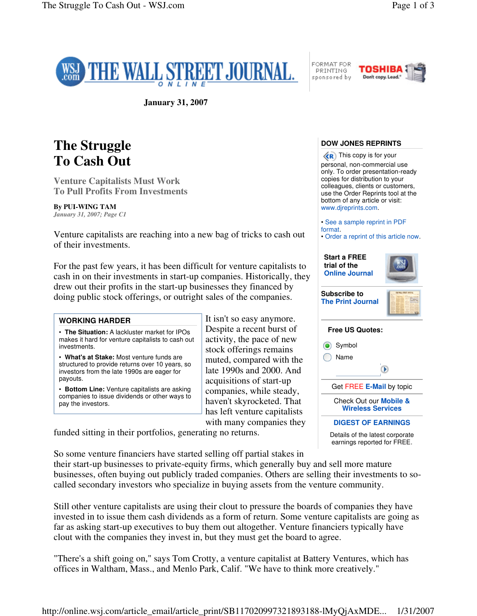

FORMAT FOR **PRINTING** sponsored by



**January 31, 2007**

## **The Struggle To Cash Out**

**Venture Capitalists Must Work To Pull Profits From Investments**

## **By PUI-WING TAM**

*January 31, 2007; Page C1*

Venture capitalists are reaching into a new bag of tricks to cash out of their investments.

For the past few years, it has been difficult for venture capitalists to cash in on their investments in start-up companies. Historically, they drew out their profits in the start-up businesses they financed by doing public stock offerings, or outright sales of the companies.

| <b>WORKING HARDER</b>                                                                                                                                   | It isn't so                                       |
|---------------------------------------------------------------------------------------------------------------------------------------------------------|---------------------------------------------------|
| • The Situation: A lackluster market for IPOs<br>makes it hard for venture capitalists to cash out<br>investments.                                      | Despite $\varepsilon$<br>activity,<br>stock off   |
| • What's at Stake: Most venture funds are<br>structured to provide returns over 10 years, so<br>investors from the late 1990s are eager for<br>payouts. | muted, c<br>late 1990<br>acquisitio               |
| • Bottom Line: Venture capitalists are asking<br>companies to issue dividends or other ways to<br>pay the investors.                                    | compani<br>haven't sl<br>$1 \quad 1 \quad \alpha$ |

easy anymore. a recent burst of the pace of new erings remains ompared with the  $\lambda$ s and 2000. And ons of start-up es, while steady, kyrocketed. That has left venture capitalists with many companies they

funded sitting in their portfolios, generating no returns.

So some venture financiers have started selling off partial stakes in

their start-up businesses to private-equity firms, which generally buy and sell more mature businesses, often buying out publicly traded companies. Others are selling their investments to socalled secondary investors who specialize in buying assets from the venture community.

Still other venture capitalists are using their clout to pressure the boards of companies they have invested in to issue them cash dividends as a form of return. Some venture capitalists are going as far as asking start-up executives to buy them out altogether. Venture financiers typically have clout with the companies they invest in, but they must get the board to agree.

"There's a shift going on," says Tom Crotty, a venture capitalist at Battery Ventures, which has offices in Waltham, Mass., and Menlo Park, Calif. "We have to think more creatively."

## **DOW JONES REPRINTS**

 $\langle \langle \mathbf{R} \rangle$  This copy is for your personal, non-commercial use only. To order presentation-ready copies for distribution to your colleagues, clients or customers, use the Order Reprints tool at the bottom of any article or visit: www.djreprints.com.

- See a sample reprint in PDF format.
- Order a reprint of this article now.



Check Out our **Mobile & Wireless Services**

**DIGEST OF EARNINGS**

Details of the latest corporate earnings reported for FREE.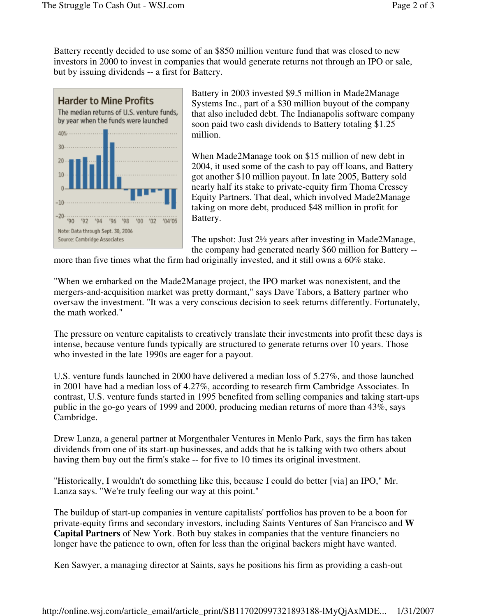Battery recently decided to use some of an \$850 million venture fund that was closed to new investors in 2000 to invest in companies that would generate returns not through an IPO or sale, but by issuing dividends -- a first for Battery.



Battery in 2003 invested \$9.5 million in Made2Manage Systems Inc., part of a \$30 million buyout of the company that also included debt. The Indianapolis software company soon paid two cash dividends to Battery totaling \$1.25 million.

When Made2Manage took on \$15 million of new debt in 2004, it used some of the cash to pay off loans, and Battery got another \$10 million payout. In late 2005, Battery sold nearly half its stake to private-equity firm Thoma Cressey Equity Partners. That deal, which involved Made2Manage taking on more debt, produced \$48 million in profit for Battery.

The upshot: Just 2½ years after investing in Made2Manage, the company had generated nearly \$60 million for Battery --

more than five times what the firm had originally invested, and it still owns a 60% stake.

"When we embarked on the Made2Manage project, the IPO market was nonexistent, and the mergers-and-acquisition market was pretty dormant," says Dave Tabors, a Battery partner who oversaw the investment. "It was a very conscious decision to seek returns differently. Fortunately, the math worked."

The pressure on venture capitalists to creatively translate their investments into profit these days is intense, because venture funds typically are structured to generate returns over 10 years. Those who invested in the late 1990s are eager for a payout.

U.S. venture funds launched in 2000 have delivered a median loss of 5.27%, and those launched in 2001 have had a median loss of 4.27%, according to research firm Cambridge Associates. In contrast, U.S. venture funds started in 1995 benefited from selling companies and taking start-ups public in the go-go years of 1999 and 2000, producing median returns of more than 43%, says Cambridge.

Drew Lanza, a general partner at Morgenthaler Ventures in Menlo Park, says the firm has taken dividends from one of its start-up businesses, and adds that he is talking with two others about having them buy out the firm's stake -- for five to 10 times its original investment.

"Historically, I wouldn't do something like this, because I could do better [via] an IPO," Mr. Lanza says. "We're truly feeling our way at this point."

The buildup of start-up companies in venture capitalists' portfolios has proven to be a boon for private-equity firms and secondary investors, including Saints Ventures of San Francisco and **W Capital Partners** of New York. Both buy stakes in companies that the venture financiers no longer have the patience to own, often for less than the original backers might have wanted.

Ken Sawyer, a managing director at Saints, says he positions his firm as providing a cash-out